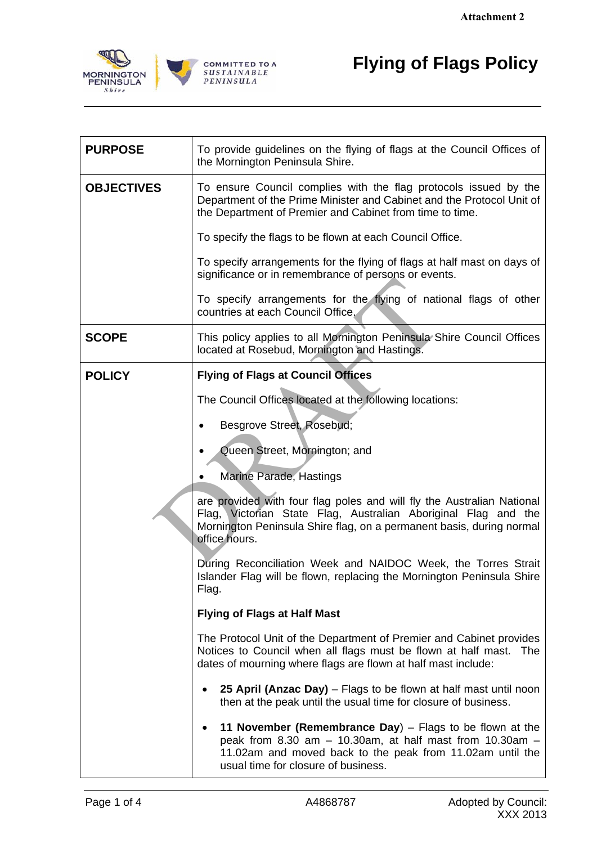

 $\mathsf{r}$ 

|                                 | <b>Attachment 2</b>                                                                                                                                                                                                               |
|---------------------------------|-----------------------------------------------------------------------------------------------------------------------------------------------------------------------------------------------------------------------------------|
| ORNINGTON<br>PENINSULA<br>Shire | <b>Flying of Flags Policy</b><br><b>COMMITTED TO A</b><br>SUSTAINABLE<br>PENINSULA                                                                                                                                                |
|                                 |                                                                                                                                                                                                                                   |
| <b>PURPOSE</b>                  | To provide guidelines on the flying of flags at the Council Offices of<br>the Mornington Peninsula Shire.                                                                                                                         |
| <b>OBJECTIVES</b>               | To ensure Council complies with the flag protocols issued by the<br>Department of the Prime Minister and Cabinet and the Protocol Unit of<br>the Department of Premier and Cabinet from time to time.                             |
|                                 | To specify the flags to be flown at each Council Office.                                                                                                                                                                          |
|                                 | To specify arrangements for the flying of flags at half mast on days of<br>significance or in remembrance of persons or events.                                                                                                   |
|                                 | To specify arrangements for the flying of national flags of other<br>countries at each Council Office.                                                                                                                            |
| <b>SCOPE</b>                    | This policy applies to all Mornington Peninsula Shire Council Offices<br>located at Rosebud, Mornington and Hastings.                                                                                                             |
| <b>POLICY</b>                   | <b>Flying of Flags at Council Offices</b>                                                                                                                                                                                         |
|                                 | The Council Offices located at the following locations:                                                                                                                                                                           |
|                                 | Besgrove Street, Rosebud;                                                                                                                                                                                                         |
|                                 | Queen Street, Mornington; and                                                                                                                                                                                                     |
|                                 | <b>Marine Parade, Hastings</b>                                                                                                                                                                                                    |
|                                 | are provided with four flag poles and will fly the Australian National<br>Flag, Victorian State Flag, Australian Aboriginal Flag and the<br>Mornington Peninsula Shire flag, on a permanent basis, during normal<br>office hours. |
|                                 | During Reconciliation Week and NAIDOC Week, the Torres Strait<br>Islander Flag will be flown, replacing the Mornington Peninsula Shire<br>Flag.                                                                                   |
|                                 | <b>Flying of Flags at Half Mast</b>                                                                                                                                                                                               |
|                                 | The Protocol Unit of the Department of Premier and Cabinet provides<br>Notices to Council when all flags must be flown at half mast.<br>The<br>dates of mourning where flags are flown at half mast include:                      |
|                                 | 25 April (Anzac Day) – Flags to be flown at half mast until noon<br>then at the peak until the usual time for closure of business.                                                                                                |
|                                 | 11 November (Remembrance Day) $-$ Flags to be flown at the<br>peak from 8.30 am $-$ 10.30am, at half mast from 10.30am $-$<br>11.02am and moved back to the peak from 11.02am until the<br>usual time for closure of business.    |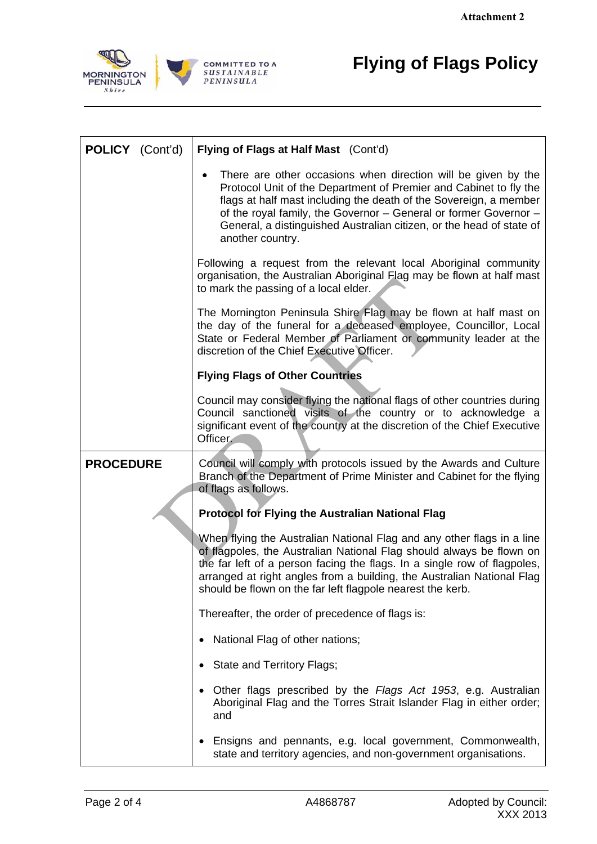$\overline{\phantom{a}}$ 



 $\mathsf{r}$ 

|                                         | <b>Attachment 2</b>                                                                                                                                                                                                                                                                                                                                                     |
|-----------------------------------------|-------------------------------------------------------------------------------------------------------------------------------------------------------------------------------------------------------------------------------------------------------------------------------------------------------------------------------------------------------------------------|
| 1ORNINGTON<br><b>PENINSULA</b><br>Shire | <b>Flying of Flags Policy</b><br><b>COMMITTED TO A</b><br><b>SUSTAINABLE</b><br>PENINSULA                                                                                                                                                                                                                                                                               |
| POLICY (Cont'd)                         | Flying of Flags at Half Mast (Cont'd)                                                                                                                                                                                                                                                                                                                                   |
|                                         | There are other occasions when direction will be given by the<br>Protocol Unit of the Department of Premier and Cabinet to fly the<br>flags at half mast including the death of the Sovereign, a member<br>of the royal family, the Governor - General or former Governor -<br>General, a distinguished Australian citizen, or the head of state of<br>another country. |
|                                         | Following a request from the relevant local Aboriginal community<br>organisation, the Australian Aboriginal Flag may be flown at half mast<br>to mark the passing of a local elder.                                                                                                                                                                                     |
|                                         | The Mornington Peninsula Shire Flag may be flown at half mast on<br>the day of the funeral for a deceased employee, Councillor, Local<br>State or Federal Member of Parliament or community leader at the<br>discretion of the Chief Executive Officer.                                                                                                                 |
|                                         | <b>Flying Flags of Other Countries</b>                                                                                                                                                                                                                                                                                                                                  |
|                                         | Council may consider flying the national flags of other countries during<br>Council sanctioned visits of the country or to acknowledge a<br>significant event of the country at the discretion of the Chief Executive<br>Officer.                                                                                                                                       |
| <b>PROCEDURE</b>                        | Council will comply with protocols issued by the Awards and Culture<br>Branch of the Department of Prime Minister and Cabinet for the flying<br>of flags as follows.                                                                                                                                                                                                    |
|                                         | <b>Protocol for Flying the Australian National Flag</b>                                                                                                                                                                                                                                                                                                                 |
|                                         | When flying the Australian National Flag and any other flags in a line<br>of flagpoles, the Australian National Flag should always be flown on<br>the far left of a person facing the flags. In a single row of flagpoles,<br>arranged at right angles from a building, the Australian National Flag<br>should be flown on the far left flagpole nearest the kerb.      |
|                                         | Thereafter, the order of precedence of flags is:                                                                                                                                                                                                                                                                                                                        |
|                                         | National Flag of other nations;                                                                                                                                                                                                                                                                                                                                         |
|                                         | State and Territory Flags;                                                                                                                                                                                                                                                                                                                                              |
|                                         | Other flags prescribed by the Flags Act 1953, e.g. Australian<br>$\bullet$<br>Aboriginal Flag and the Torres Strait Islander Flag in either order;<br>and                                                                                                                                                                                                               |
|                                         | Ensigns and pennants, e.g. local government, Commonwealth,<br>٠<br>state and territory agencies, and non-government organisations.                                                                                                                                                                                                                                      |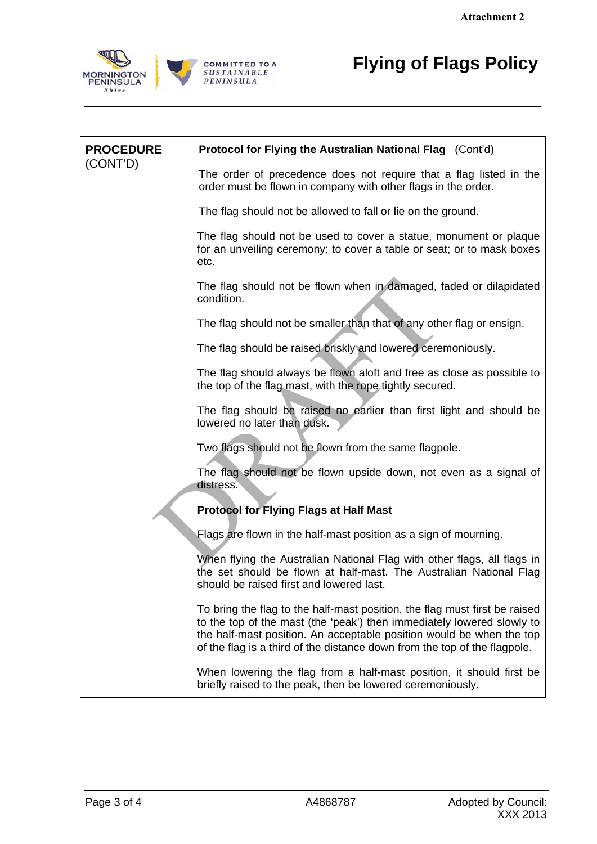

|                                                | <b>Attachment 2</b>                                                                                                                                                                                                                                                                                       |
|------------------------------------------------|-----------------------------------------------------------------------------------------------------------------------------------------------------------------------------------------------------------------------------------------------------------------------------------------------------------|
| <b>1ORNINGTON</b><br><b>PENINSULA</b><br>Shire | <b>Flying of Flags Policy</b><br><b>COMMITTED TO A</b><br><b>SUSTAINABLE</b><br>PENINSULA                                                                                                                                                                                                                 |
| <b>PROCEDURE</b><br>(CONT'D)                   | Protocol for Flying the Australian National Flag (Cont'd)                                                                                                                                                                                                                                                 |
|                                                | The order of precedence does not require that a flag listed in the<br>order must be flown in company with other flags in the order.                                                                                                                                                                       |
|                                                | The flag should not be allowed to fall or lie on the ground.                                                                                                                                                                                                                                              |
|                                                | The flag should not be used to cover a statue, monument or plaque<br>for an unveiling ceremony; to cover a table or seat; or to mask boxes<br>etc.                                                                                                                                                        |
|                                                | The flag should not be flown when in damaged, faded or dilapidated<br>condition.                                                                                                                                                                                                                          |
|                                                | The flag should not be smaller than that of any other flag or ensign.                                                                                                                                                                                                                                     |
|                                                | The flag should be raised briskly and lowered ceremoniously.                                                                                                                                                                                                                                              |
|                                                | The flag should always be flown aloft and free as close as possible to<br>the top of the flag mast, with the rope tightly secured.                                                                                                                                                                        |
|                                                | The flag should be raised no earlier than first light and should be<br>lowered no later than dusk.                                                                                                                                                                                                        |
|                                                | Two flags should not be flown from the same flagpole.                                                                                                                                                                                                                                                     |
|                                                | The flag should not be flown upside down, not even as a signal of<br>distress.                                                                                                                                                                                                                            |
|                                                | <b>Protocol for Flying Flags at Half Mast</b>                                                                                                                                                                                                                                                             |
|                                                | Flags are flown in the half-mast position as a sign of mourning.                                                                                                                                                                                                                                          |
|                                                | When flying the Australian National Flag with other flags, all flags in<br>the set should be flown at half-mast. The Australian National Flag<br>should be raised first and lowered last.                                                                                                                 |
|                                                | To bring the flag to the half-mast position, the flag must first be raised<br>to the top of the mast (the 'peak') then immediately lowered slowly to<br>the half-mast position. An acceptable position would be when the top<br>of the flag is a third of the distance down from the top of the flagpole. |
|                                                | When lowering the flag from a half-mast position, it should first be<br>briefly raised to the peak, then be lowered ceremoniously.                                                                                                                                                                        |